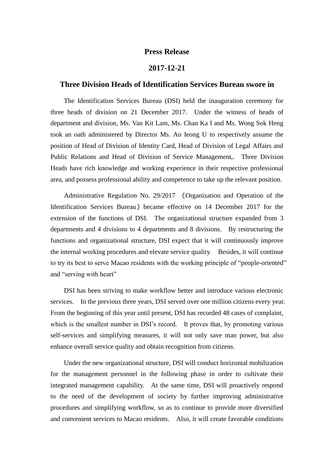## **Press Release**

## **2017-12-21**

## **Three Division Heads of Identification Services Bureau swore in**

The Identification Services Bureau (DSI) held the inauguration ceremony for three heads of division on 21 December 2017. Under the witness of heads of department and division, Ms. Van Kit Lam, Ms. Chan Ka I and Ms. Wong Sok Heng took an oath administered by Director Ms. Ao Ieong U to respectively assume the position of Head of Division of Identity Card, Head of Division of Legal Affairs and Public Relations and Head of Division of Service Management,. Three Division Heads have rich knowledge and working experience in their respective professional area, and possess professional ability and competence to take up the relevant position.

Administrative Regulation No. 29/2017 《Organization and Operation of the Identification Services Bureau》became effective on 14 December 2017 for the extension of the functions of DSI. The organizational structure expanded from 3 departments and 4 divisions to 4 departments and 8 divisions. By restructuring the functions and organizational structure, DSI expect that it will continuously improve the internal working procedures and elevate service quality. Besides, it will continue to try its best to serve Macao residents with the working principle of "people-oriented" and "serving with heart"

DSI has been striving to make workflow better and introduce various electronic services. In the previous three years, DSI served over one million citizens every year. From the beginning of this year until present, DSI has recorded 48 cases of complaint, which is the smallest number in DSI's record. It proves that, by promoting various self-services and simplifying measures, it will not only save man power, but also enhance overall service quality and obtain recognition from citizens.

Under the new organizational structure, DSI will conduct horizontal mobilization for the management personnel in the following phase in order to cultivate their integrated management capability. At the same time, DSI will proactively respond to the need of the development of society by further improving administrative procedures and simplifying workflow, so as to continue to provide more diversified and convenient services to Macao residents. Also, it will create favorable conditions